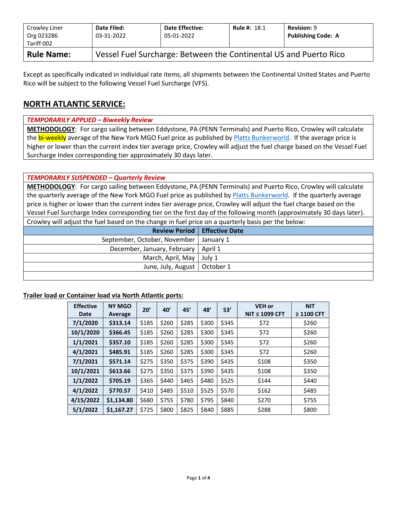| Crowley Liner<br>Org 023286<br>Tariff 002 | Date Filed:<br>03-31-2022 | <b>Date Effective:</b><br>05-01-2022                              | <b>Rule #: 18.1</b> | <b>Revision: 9</b><br><b>Publishing Code: A</b> |  |  |  |  |  |
|-------------------------------------------|---------------------------|-------------------------------------------------------------------|---------------------|-------------------------------------------------|--|--|--|--|--|
| <b>Rule Name:</b>                         |                           | Vessel Fuel Surcharge: Between the Continental US and Puerto Rico |                     |                                                 |  |  |  |  |  |

Except as specifically indicated in individual rate items, all shipments between the Continental United States and Puerto Rico will be subject to the following Vessel Fuel Surcharge (VFS).

## **NORTH ATLANTIC SERVICE:**

#### *TEMPORARILY APPLIED – Biweekly Review*

**METHODOLOGY**: For cargo sailing between Eddystone, PA (PENN Terminals) and Puerto Rico, Crowley will calculate the bi-weekly average of the New York MGO Fuel price as published b[y Platts Bunkerworld.](http://www.bunkerworld.com/) If the average price is higher or lower than the current index tier average price, Crowley will adjust the fuel charge based on the Vessel Fuel Surcharge Index corresponding tier approximately 30 days later.

#### *TEMPORARILY SUSPENDED – Quarterly Review*

**METHODOLOGY**: For cargo sailing between Eddystone, PA (PENN Terminals) and Puerto Rico, Crowley will calculate the quarterly average of the New York MGO Fuel price as published by [Platts Bunkerworld.](http://www.bunkerworld.com/) If the quarterly average price is higher or lower than the current index tier average price, Crowley will adjust the fuel charge based on the Vessel Fuel Surcharge Index corresponding tier on the first day of the following month (approximately 30 days later). Crowley will adjust the fuel based on the change in fuel price on a quarterly basis per the below:

| <b>Review Period   Effective Date</b>    |  |
|------------------------------------------|--|
| September, October, November   January 1 |  |
| December, January, February   April 1    |  |
| March, April, May   July 1               |  |
| June, July, August   October 1           |  |
|                                          |  |

#### **Trailer load or Container load via North Atlantic ports:**

| <b>Effective</b><br>Date | <b>NY MGO</b><br>Average | 20'   | 40'   | 45'   | 48'   | 53'   | <b>VEH or</b><br>$NIT \leq 1099$ CFT | <b>NIT</b><br>≥ 1100 CFT |
|--------------------------|--------------------------|-------|-------|-------|-------|-------|--------------------------------------|--------------------------|
| 7/1/2020                 | \$313.14                 | \$185 | \$260 | \$285 | \$300 | \$345 | \$72                                 | \$260                    |
| 10/1/2020                | \$366.45                 | \$185 | \$260 | \$285 | \$300 | \$345 | \$72                                 | \$260                    |
| 1/1/2021                 | \$357.10                 | \$185 | \$260 | \$285 | \$300 | \$345 | \$72                                 | \$260                    |
| 4/1/2021                 | \$485.91                 | \$185 | \$260 | \$285 | \$300 | \$345 | \$72                                 | \$260                    |
| 7/1/2021                 | \$571.14                 | \$275 | \$350 | \$375 | \$390 | \$435 | \$108                                | \$350                    |
| 10/1/2021                | \$613.66                 | \$275 | \$350 | \$375 | \$390 | \$435 | \$108                                | \$350                    |
| 1/1/2022                 | \$705.19                 | \$365 | \$440 | \$465 | \$480 | \$525 | \$144                                | \$440                    |
| 4/1/2022                 | \$770.57                 | \$410 | \$485 | \$510 | \$525 | \$570 | \$162                                | \$485                    |
| 4/15/2022                | \$1,134.80               | \$680 | \$755 | \$780 | \$795 | \$840 | \$270                                | \$755                    |
| 5/1/2022                 | \$1,167.27               | \$725 | \$800 | \$825 | \$840 | \$885 | \$288                                | \$800                    |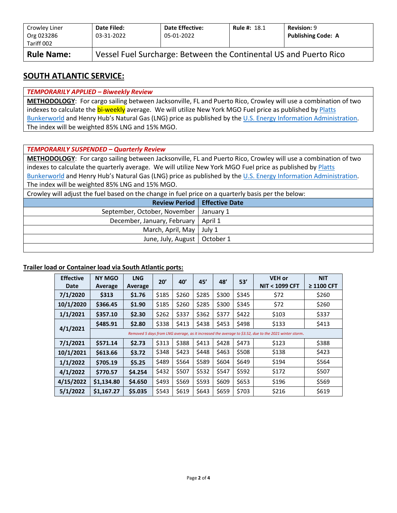| Crowley Liner<br>Org 023286<br>Tariff 002 | Date Filed:<br>03-31-2022                                         | <b>Date Effective:</b><br>05-01-2022 | <b>Rule #: 18.1</b> | <b>Revision: 9</b><br><b>Publishing Code: A</b> |  |  |  |  |  |
|-------------------------------------------|-------------------------------------------------------------------|--------------------------------------|---------------------|-------------------------------------------------|--|--|--|--|--|
| <b>Rule Name:</b>                         | Vessel Fuel Surcharge: Between the Continental US and Puerto Rico |                                      |                     |                                                 |  |  |  |  |  |

### **SOUTH ATLANTIC SERVICE:**

#### *TEMPORARILY APPLIED – Biweekly Review*

**METHODOLOGY**: For cargo sailing between Jacksonville, FL and Puerto Rico, Crowley will use a combination of two indexes to calculate the bi-weekly average. We will utilize New York MGO Fuel price as published by Platts [Bunkerworld](http://www.bunkerworld.com/) and Henry Hub's Natural Gas (LNG) price as published by the [U.S. Energy Information Administration.](https://www.eia.gov/dnav/ng/hist/rngwhhdD.htm) The index will be weighted 85% LNG and 15% MGO.

#### *TEMPORARILY SUSPENDED – Quarterly Review*

**METHODOLOGY**: For cargo sailing between Jacksonville, FL and Puerto Rico, Crowley will use a combination of two indexes to calculate the quarterly average. We will utilize New York MGO Fuel price as published by Platts [Bunkerworld](http://www.bunkerworld.com/) and Henry Hub's Natural Gas (LNG) price as published by the [U.S. Energy Information Administration.](https://www.eia.gov/dnav/ng/hist/rngwhhdD.htm) The index will be weighted 85% LNG and 15% MGO.

Crowley will adjust the fuel based on the change in fuel price on a quarterly basis per the below:

| <b>Review Period   Effective Date</b>    |  |
|------------------------------------------|--|
| September, October, November   January 1 |  |
| December, January, February   April 1    |  |
| March, April, May   July 1               |  |
| June, July, August   October 1           |  |
|                                          |  |

#### **Trailer load or Container load via South Atlantic ports:**

| <b>Effective</b><br>Date | <b>NY MGO</b><br>Average | <b>LNG</b><br>Average | 20'   | 40'   | 45'   | 48'   | 53'   | <b>VEH or</b><br><b>NIT &lt; 1099 CFT</b>                                                             | <b>NIT</b><br>$\geq$ 1100 CFT |
|--------------------------|--------------------------|-----------------------|-------|-------|-------|-------|-------|-------------------------------------------------------------------------------------------------------|-------------------------------|
| 7/1/2020                 | \$313                    | \$1.76                | \$185 | \$260 | \$285 | \$300 | \$345 | \$72                                                                                                  | \$260                         |
| 10/1/2020                | \$366.45                 | \$1.90                | \$185 | \$260 | \$285 | \$300 | \$345 | \$72                                                                                                  | \$260                         |
| 1/1/2021                 | \$357.10                 | \$2.30                | \$262 | \$337 | \$362 | \$377 | \$422 | \$103                                                                                                 | \$337                         |
|                          | \$485.91<br>\$2.80       |                       | \$338 | \$413 | \$438 | \$453 | \$498 | \$133                                                                                                 | \$413                         |
| 4/1/2021                 |                          |                       |       |       |       |       |       | Removed 5 days from LNG average, as it increased the average to \$3.52, due to the 2021 winter storm. |                               |
| 7/1/2021                 | \$571.14                 | \$2.73                | \$313 | \$388 | \$413 | \$428 | \$473 | \$123                                                                                                 | \$388                         |
| 10/1/2021                | \$613.66                 | \$3.72                | \$348 | \$423 | \$448 | \$463 | \$508 | \$138                                                                                                 | \$423                         |
| 1/1/2022                 | \$705.19                 | \$5.25                | \$489 | \$564 | \$589 | \$604 | \$649 | \$194                                                                                                 | \$564                         |
| 4/1/2022                 | \$770.57                 | \$4.254               | \$432 | \$507 | \$532 | \$547 | \$592 | \$172                                                                                                 | \$507                         |
| 4/15/2022                | \$1,134.80               | \$4.650               | \$493 | \$569 | \$593 | \$609 | \$653 | \$196                                                                                                 | \$569                         |
| 5/1/2022                 | \$1,167.27               | \$5.035               | \$543 | \$619 | \$643 | \$659 | \$703 | \$216                                                                                                 | \$619                         |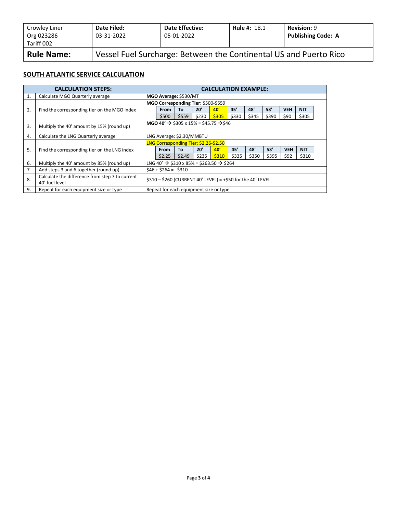| Crowley Liner<br>Org 023286<br>Tariff 002 | Date Filed:<br>03-31-2022                                         | <b>Date Effective:</b><br>05-01-2022 | <b>Rule #: 18.1</b> | <b>Revision: 9</b><br><b>Publishing Code: A</b> |  |  |  |  |
|-------------------------------------------|-------------------------------------------------------------------|--------------------------------------|---------------------|-------------------------------------------------|--|--|--|--|
| <b>Rule Name:</b>                         | Vessel Fuel Surcharge: Between the Continental US and Puerto Rico |                                      |                     |                                                 |  |  |  |  |

#### **SOUTH ATLANTIC SERVICE CALCULATION**

|    | <b>CALCULATION STEPS:</b>                                         |                                                                | <b>CALCULATION EXAMPLE:</b>                                      |        |       |       |       |       |       |            |            |  |
|----|-------------------------------------------------------------------|----------------------------------------------------------------|------------------------------------------------------------------|--------|-------|-------|-------|-------|-------|------------|------------|--|
| 1. | Calculate MGO Quarterly average                                   | MGO Average: \$530/MT                                          |                                                                  |        |       |       |       |       |       |            |            |  |
|    |                                                                   | MGO Corresponding Tier: \$500-\$559                            |                                                                  |        |       |       |       |       |       |            |            |  |
| 2. | Find the corresponding tier on the MGO index                      |                                                                | From                                                             | Τo     | 20'   | 40'   | 45'   | 48'   | 53'   | <b>VEH</b> | <b>NIT</b> |  |
|    |                                                                   |                                                                | \$500                                                            | \$559  | \$230 | \$305 | \$330 | \$345 | \$390 | \$90       | \$305      |  |
| 3. | Multiply the 40' amount by 15% (round up)                         | MGO 40' $\rightarrow$ \$305 x 15% = \$45.75 $\rightarrow$ \$46 |                                                                  |        |       |       |       |       |       |            |            |  |
| 4. | Calculate the LNG Quarterly average                               |                                                                | LNG Average: \$2.30/MMBTU                                        |        |       |       |       |       |       |            |            |  |
|    |                                                                   |                                                                | LNG Corresponding Tier: \$2.26-\$2.50                            |        |       |       |       |       |       |            |            |  |
| 5. | Find the corresponding tier on the LNG index                      |                                                                | <b>From</b>                                                      | To     | 20'   | 40'   | 45'   | 48'   | 53'   | <b>VEH</b> | <b>NIT</b> |  |
|    |                                                                   |                                                                | \$2.25                                                           | \$2.49 | \$235 | \$310 | \$335 | \$350 | \$395 | \$92       | \$310      |  |
| 6. | Multiply the 40' amount by 85% (round up)                         |                                                                | LNG 40' $\rightarrow$ \$310 x 85% = \$263.50 $\rightarrow$ \$264 |        |       |       |       |       |       |            |            |  |
| 7. | Add steps 3 and 6 together (round up)                             |                                                                | $$46 + $264 = $310$                                              |        |       |       |       |       |       |            |            |  |
| 8. | Calculate the difference from step 7 to current<br>40' fuel level | \$310 - \$260 (CURRENT 40' LEVEL) = +\$50 for the 40' LEVEL    |                                                                  |        |       |       |       |       |       |            |            |  |
| 9. | Repeat for each equipment size or type                            |                                                                | Repeat for each equipment size or type                           |        |       |       |       |       |       |            |            |  |